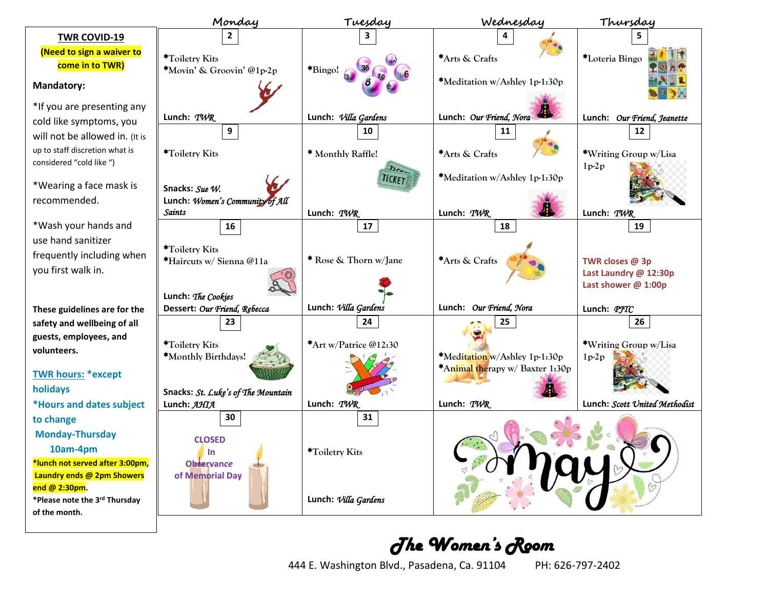|                                                               | Monday                                           | Tuesday                    | Wednesday                       | Thursday                         |
|---------------------------------------------------------------|--------------------------------------------------|----------------------------|---------------------------------|----------------------------------|
| <b>TWR COVID-19</b>                                           |                                                  |                            |                                 |                                  |
| (Need to sign a waiver to                                     | *Toiletry Kits                                   |                            | *Arts & Crafts                  | *Loteria Bingo                   |
| come in to TWR)                                               | *Movin' & Groovin' @1p-2p                        | *Bingo!                    |                                 |                                  |
| <b>Mandatory:</b>                                             |                                                  |                            | *Meditation w/Ashley 1p-1:30p   |                                  |
| *If you are presenting any                                    |                                                  |                            |                                 |                                  |
| cold like symptoms, you                                       | Lunch: TWR                                       | Lunch: Villa Gardens       | Lunch: Our Friend, Nora         | Lunch: Our Friend, Jeanette      |
| will not be allowed in. (It is                                | 9                                                | 10                         | 11                              | 12                               |
| up to staff discretion what is<br>considered "cold like ")    | *Toiletry Kits                                   | * Monthly Raffle!          | *Arts & Crafts                  | *Writing Group w/Lisa<br>$1p-2p$ |
| *Wearing a face mask is                                       | Snacks: Sue W.                                   | <b>TICKET</b>              | *Meditation w/Ashley 1p-1:30p   |                                  |
| recommended.                                                  | Lunch: Women's Community of All<br><b>Saints</b> | Lunch: TWR                 | Lunch: TWR                      | Lunch: $TWR$                     |
| *Wash your hands and                                          | 16                                               | 17                         | 18                              | 19                               |
| use hand sanitizer                                            |                                                  |                            |                                 |                                  |
| frequently including when                                     | *Toiletry Kits<br>*Haircuts w/ Sienna @11a       | * Rose & Thorn w/Jane      | *Arts & Crafts                  | TWR closes @ 3p                  |
| you first walk in.                                            |                                                  |                            |                                 | Last Laundry @ 12:30p            |
|                                                               |                                                  |                            |                                 | Last shower @ 1:00p              |
|                                                               | Lunch: The Cookies                               |                            |                                 |                                  |
| These guidelines are for the                                  | Dessert: Our Friend, Rebecca                     | Lunch: Villa Gardens<br>24 | Lunch: Our Friend, Nora         | Lunch: PJTC<br>26                |
| safety and wellbeing of all<br>guests, employees, and         | 23                                               |                            | 25                              |                                  |
| volunteers.                                                   | *Toiletry Kits                                   | *Art w/Patrice @12:30      |                                 | *Writing Group w/Lisa            |
|                                                               | *Monthly Birthdays!                              |                            | *Meditation w/Ashley 1p-1:30p   | $1p-2p$                          |
| <b>TWR hours: *except</b>                                     |                                                  |                            | *Animal therapy w/ Baxter 1:30p |                                  |
| holidays                                                      | Snacks: St. Luke's of The Mountain               |                            |                                 |                                  |
| *Hours and dates subject                                      | Lunch: AHIA                                      | Lunch: TWR                 | Lunch: TWR                      | Lunch: Scott United Methodist    |
| to change                                                     | 30                                               | 31                         |                                 |                                  |
| <b>Monday-Thursday</b>                                        | <b>CLOSED</b>                                    |                            |                                 |                                  |
| 10am-4pm                                                      | In                                               | *Toiletry Kits             |                                 |                                  |
| *lunch not served after 3:00pm,<br>Laundry ends @ 2pm Showers | <b>Observance</b><br>of Memorial Day             |                            |                                 |                                  |
| end @ 2:30pm.                                                 |                                                  |                            |                                 |                                  |
| *Please note the 3rd Thursday                                 |                                                  | Lunch: Villa Gardens       |                                 |                                  |
| of the month.                                                 |                                                  |                            |                                 |                                  |

## *The Women's Room*

444 E. Washington Blvd., Pasadena, Ca. 91104 PH: 626-797-2402